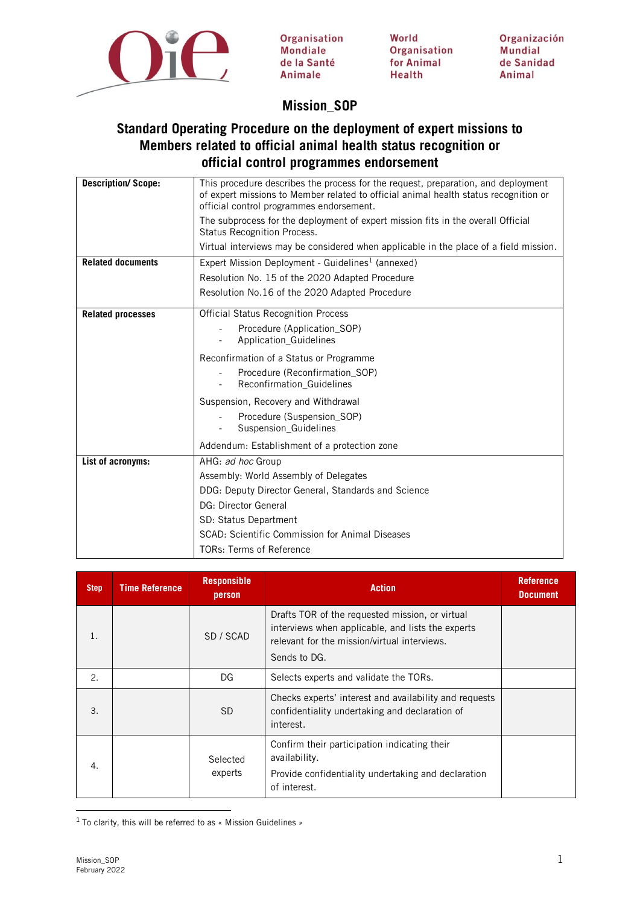

Organisation Mondiale de la Santé Animale

World Organisation for Animal **Health** 

Organización **Mundial** de Sanidad Animal

# **Mission\_SOP**

## **Standard Operating Procedure on the deployment of expert missions to Members related to official animal health status recognition or official control programmes endorsement**

| <b>Description/Scope:</b> | This procedure describes the process for the request, preparation, and deployment<br>of expert missions to Member related to official animal health status recognition or<br>official control programmes endorsement.<br>The subprocess for the deployment of expert mission fits in the overall Official<br>Status Recognition Process. |
|---------------------------|------------------------------------------------------------------------------------------------------------------------------------------------------------------------------------------------------------------------------------------------------------------------------------------------------------------------------------------|
|                           | Virtual interviews may be considered when applicable in the place of a field mission.                                                                                                                                                                                                                                                    |
| <b>Related documents</b>  | Expert Mission Deployment - Guidelines <sup>1</sup> (annexed)<br>Resolution No. 15 of the 2020 Adapted Procedure<br>Resolution No.16 of the 2020 Adapted Procedure                                                                                                                                                                       |
| <b>Related processes</b>  | <b>Official Status Recognition Process</b><br>Procedure (Application_SOP)<br>Application_Guidelines<br>$\overline{\phantom{a}}$<br>Reconfirmation of a Status or Programme<br>Procedure (Reconfirmation SOP)<br>Reconfirmation_Guidelines<br>Suspension, Recovery and Withdrawal<br>Procedure (Suspension_SOP)                           |
|                           | Suspension_Guidelines<br>Addendum: Establishment of a protection zone                                                                                                                                                                                                                                                                    |
| List of acronyms:         | AHG: ad hoc Group<br>Assembly: World Assembly of Delegates<br>DDG: Deputy Director General, Standards and Science<br>DG: Director General<br>SD: Status Department<br>SCAD: Scientific Commission for Animal Diseases<br><b>TORs: Terms of Reference</b>                                                                                 |

| <b>Step</b> | <b>Time Reference</b> | <b>Responsible</b><br>person | <b>Action</b>                                                                                                                                                        | <b>Reference</b><br><b>Document</b> |
|-------------|-----------------------|------------------------------|----------------------------------------------------------------------------------------------------------------------------------------------------------------------|-------------------------------------|
| 1.          |                       | SD / SCAD                    | Drafts TOR of the requested mission, or virtual<br>interviews when applicable, and lists the experts<br>relevant for the mission/virtual interviews.<br>Sends to DG. |                                     |
| 2.          |                       | DG                           | Selects experts and validate the TORs.                                                                                                                               |                                     |
| 3.          |                       | <b>SD</b>                    | Checks experts' interest and availability and requests<br>confidentiality undertaking and declaration of<br>interest.                                                |                                     |
| 4.          |                       | Selected<br>experts          | Confirm their participation indicating their<br>availability.<br>Provide confidentiality undertaking and declaration<br>of interest.                                 |                                     |

<span id="page-0-0"></span><sup>1</sup> To clarity, this will be referred to as « Mission Guidelines »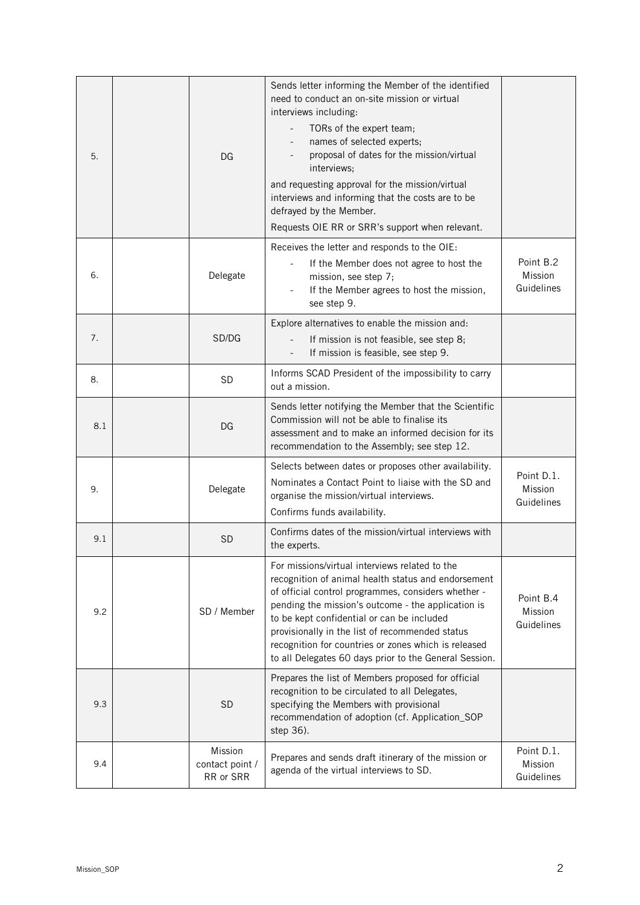| 5.  | DG                                      | Sends letter informing the Member of the identified<br>need to conduct an on-site mission or virtual<br>interviews including:<br>TORs of the expert team;<br>$\overline{\phantom{a}}$<br>names of selected experts;<br>proposal of dates for the mission/virtual<br>interviews;<br>and requesting approval for the mission/virtual<br>interviews and informing that the costs are to be<br>defrayed by the Member.<br>Requests OIE RR or SRR's support when relevant. |                                     |
|-----|-----------------------------------------|-----------------------------------------------------------------------------------------------------------------------------------------------------------------------------------------------------------------------------------------------------------------------------------------------------------------------------------------------------------------------------------------------------------------------------------------------------------------------|-------------------------------------|
| 6.  | Delegate                                | Receives the letter and responds to the OIE:<br>If the Member does not agree to host the<br>mission, see step 7;<br>If the Member agrees to host the mission,<br>see step 9.                                                                                                                                                                                                                                                                                          | Point B.2<br>Mission<br>Guidelines  |
| 7.  | SD/DG                                   | Explore alternatives to enable the mission and:<br>If mission is not feasible, see step 8;<br>If mission is feasible, see step 9.                                                                                                                                                                                                                                                                                                                                     |                                     |
| 8.  | <b>SD</b>                               | Informs SCAD President of the impossibility to carry<br>out a mission.                                                                                                                                                                                                                                                                                                                                                                                                |                                     |
| 8.1 | DG                                      | Sends letter notifying the Member that the Scientific<br>Commission will not be able to finalise its<br>assessment and to make an informed decision for its<br>recommendation to the Assembly; see step 12.                                                                                                                                                                                                                                                           |                                     |
| 9.  | Delegate                                | Selects between dates or proposes other availability.<br>Nominates a Contact Point to liaise with the SD and<br>organise the mission/virtual interviews.<br>Confirms funds availability.                                                                                                                                                                                                                                                                              | Point D.1.<br>Mission<br>Guidelines |
| 9.1 | <b>SD</b>                               | Confirms dates of the mission/virtual interviews with<br>the experts.                                                                                                                                                                                                                                                                                                                                                                                                 |                                     |
| 9.2 | SD / Member                             | For missions/virtual interviews related to the<br>recognition of animal health status and endorsement<br>of official control programmes, considers whether -<br>pending the mission's outcome - the application is<br>to be kept confidential or can be included<br>provisionally in the list of recommended status<br>recognition for countries or zones which is released<br>to all Delegates 60 days prior to the General Session.                                 | Point B.4<br>Mission<br>Guidelines  |
| 9.3 | <b>SD</b>                               | Prepares the list of Members proposed for official<br>recognition to be circulated to all Delegates,<br>specifying the Members with provisional<br>recommendation of adoption (cf. Application_SOP<br>step 36).                                                                                                                                                                                                                                                       |                                     |
| 9.4 | Mission<br>contact point /<br>RR or SRR | Prepares and sends draft itinerary of the mission or<br>agenda of the virtual interviews to SD.                                                                                                                                                                                                                                                                                                                                                                       | Point D.1.<br>Mission<br>Guidelines |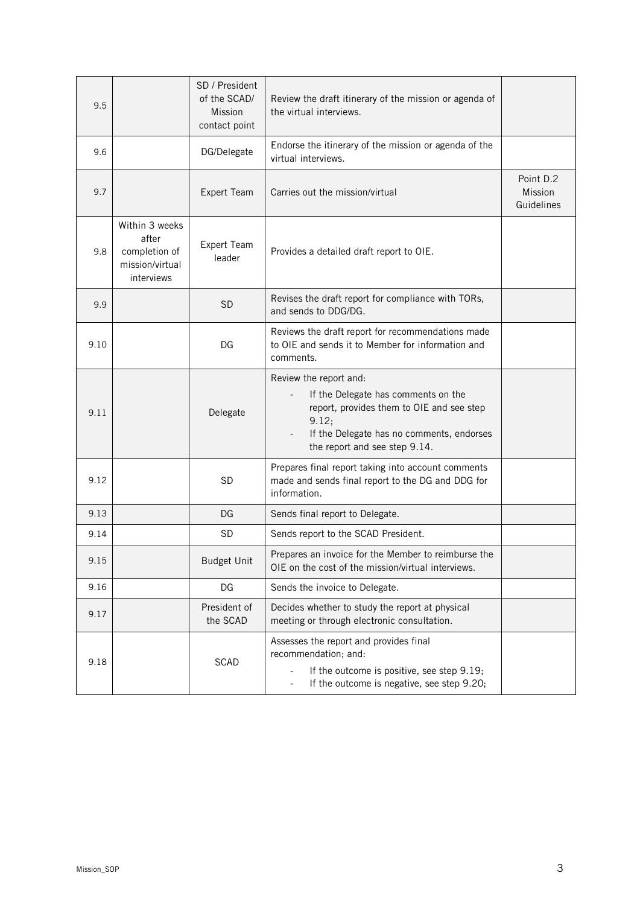| 9.5  |                                                                           | SD / President<br>of the SCAD/<br>Mission<br>contact point | Review the draft itinerary of the mission or agenda of<br>the virtual interviews.                                                                                                                 |                                    |
|------|---------------------------------------------------------------------------|------------------------------------------------------------|---------------------------------------------------------------------------------------------------------------------------------------------------------------------------------------------------|------------------------------------|
| 9.6  |                                                                           | DG/Delegate                                                | Endorse the itinerary of the mission or agenda of the<br>virtual interviews.                                                                                                                      |                                    |
| 9.7  |                                                                           | Expert Team                                                | Carries out the mission/virtual                                                                                                                                                                   | Point D.2<br>Mission<br>Guidelines |
| 9.8  | Within 3 weeks<br>after<br>completion of<br>mission/virtual<br>interviews | <b>Expert Team</b><br>leader                               | Provides a detailed draft report to OIE.                                                                                                                                                          |                                    |
| 9.9  |                                                                           | <b>SD</b>                                                  | Revises the draft report for compliance with TORs,<br>and sends to DDG/DG.                                                                                                                        |                                    |
| 9.10 |                                                                           | DG                                                         | Reviews the draft report for recommendations made<br>to OIE and sends it to Member for information and<br>comments.                                                                               |                                    |
| 9.11 |                                                                           | Delegate                                                   | Review the report and:<br>If the Delegate has comments on the<br>report, provides them to OIE and see step<br>9.12;<br>If the Delegate has no comments, endorses<br>the report and see step 9.14. |                                    |
| 9.12 |                                                                           | <b>SD</b>                                                  | Prepares final report taking into account comments<br>made and sends final report to the DG and DDG for<br>information.                                                                           |                                    |
| 9.13 |                                                                           | DG                                                         | Sends final report to Delegate.                                                                                                                                                                   |                                    |
| 9.14 |                                                                           | <b>SD</b>                                                  | Sends report to the SCAD President.                                                                                                                                                               |                                    |
| 9.15 |                                                                           | <b>Budget Unit</b>                                         | Prepares an invoice for the Member to reimburse the<br>OIE on the cost of the mission/virtual interviews.                                                                                         |                                    |
| 9.16 |                                                                           | DG                                                         | Sends the invoice to Delegate.                                                                                                                                                                    |                                    |
| 9.17 |                                                                           | President of<br>the SCAD                                   | Decides whether to study the report at physical<br>meeting or through electronic consultation.                                                                                                    |                                    |
| 9.18 |                                                                           | <b>SCAD</b>                                                | Assesses the report and provides final<br>recommendation; and:<br>If the outcome is positive, see step 9.19;<br>If the outcome is negative, see step 9.20;                                        |                                    |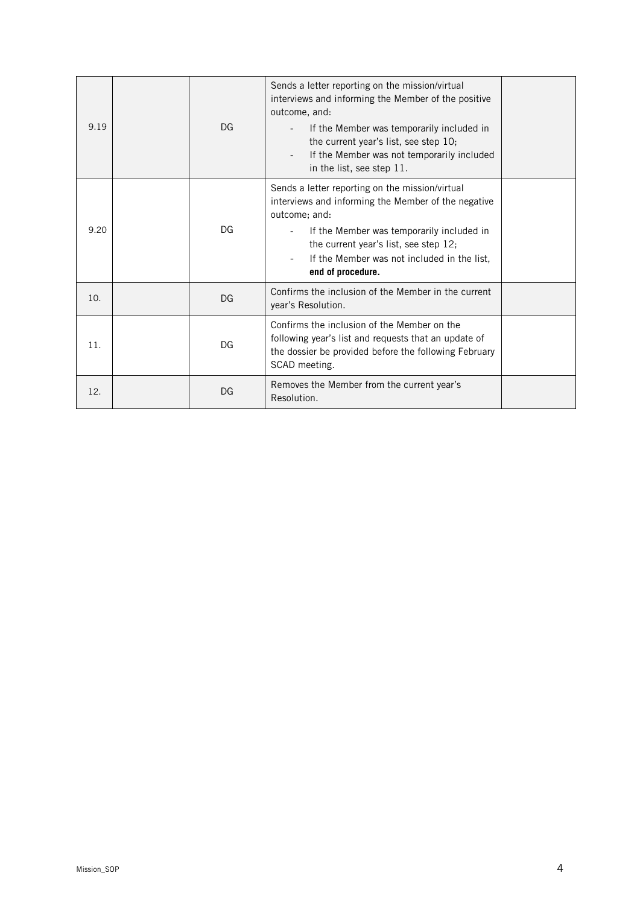| 9.19 | DG | Sends a letter reporting on the mission/virtual<br>interviews and informing the Member of the positive<br>outcome, and:<br>If the Member was temporarily included in<br>the current year's list, see step 10;<br>If the Member was not temporarily included<br>in the list, see step 11. |  |
|------|----|------------------------------------------------------------------------------------------------------------------------------------------------------------------------------------------------------------------------------------------------------------------------------------------|--|
| 9.20 | DG | Sends a letter reporting on the mission/virtual<br>interviews and informing the Member of the negative<br>outcome; and:<br>If the Member was temporarily included in<br>the current year's list, see step 12;<br>If the Member was not included in the list,<br>end of procedure.        |  |
| 10.  | DG | Confirms the inclusion of the Member in the current<br>year's Resolution.                                                                                                                                                                                                                |  |
| 11.  | DG | Confirms the inclusion of the Member on the<br>following year's list and requests that an update of<br>the dossier be provided before the following February<br>SCAD meeting.                                                                                                            |  |
| 12.  | DG | Removes the Member from the current year's<br>Resolution.                                                                                                                                                                                                                                |  |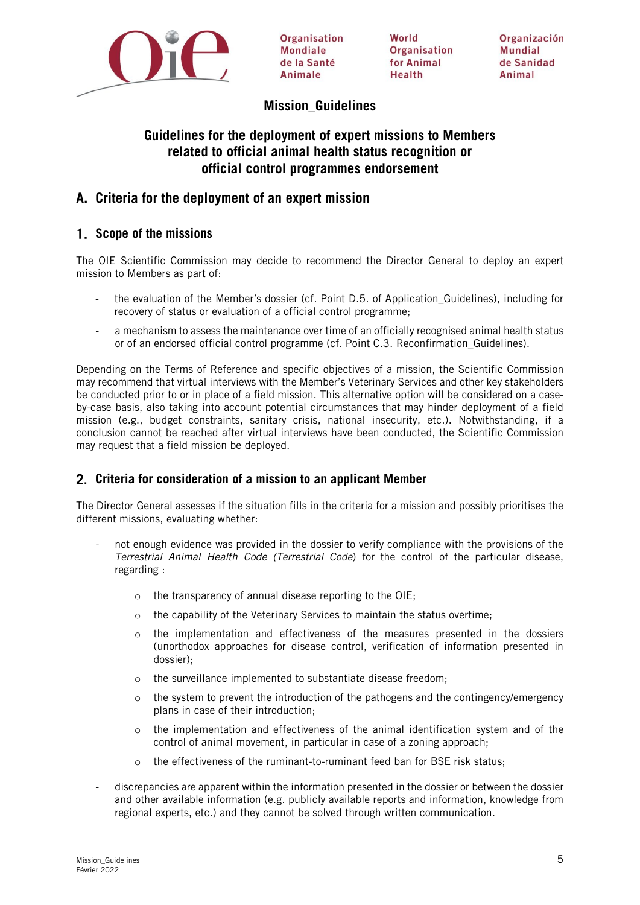

Organisation **Mondiale** de la Santé Animale

**World** Organisation for Animal Health

Organización Mundial de Sanidad Animal

## **Mission\_Guidelines**

## **Guidelines for the deployment of expert missions to Members related to official animal health status recognition or official control programmes endorsement**

## **A. Criteria for the deployment of an expert mission**

## **Scope of the missions**

The OIE Scientific Commission may decide to recommend the Director General to deploy an expert mission to Members as part of:

- the evaluation of the Member's dossier (cf. Point D.5. of Application\_Guidelines), including for recovery of status or evaluation of a official control programme;
- a mechanism to assess the maintenance over time of an officially recognised animal health status or of an endorsed official control programme (cf. Point C.3. Reconfirmation\_Guidelines).

Depending on the Terms of Reference and specific objectives of a mission, the Scientific Commission may recommend that virtual interviews with the Member's Veterinary Services and other key stakeholders be conducted prior to or in place of a field mission. This alternative option will be considered on a caseby-case basis, also taking into account potential circumstances that may hinder deployment of a field mission (e.g., budget constraints, sanitary crisis, national insecurity, etc.). Notwithstanding, if a conclusion cannot be reached after virtual interviews have been conducted, the Scientific Commission may request that a field mission be deployed.

### **Criteria for consideration of a mission to an applicant Member**

The Director General assesses if the situation fills in the criteria for a mission and possibly prioritises the different missions, evaluating whether:

- not enough evidence was provided in the dossier to verify compliance with the provisions of the Terrestrial Animal Health Code (Terrestrial Code) for the control of the particular disease, regarding :
	- o the transparency of annual disease reporting to the OIE;
	- $\circ$  the capability of the Veterinary Services to maintain the status overtime;
	- o the implementation and effectiveness of the measures presented in the dossiers (unorthodox approaches for disease control, verification of information presented in dossier);
	- o the surveillance implemented to substantiate disease freedom;
	- o the system to prevent the introduction of the pathogens and the contingency/emergency plans in case of their introduction;
	- $\circ$  the implementation and effectiveness of the animal identification system and of the control of animal movement, in particular in case of a zoning approach;
	- o the effectiveness of the ruminant-to-ruminant feed ban for BSE risk status;
- discrepancies are apparent within the information presented in the dossier or between the dossier and other available information (e.g. publicly available reports and information, knowledge from regional experts, etc.) and they cannot be solved through written communication.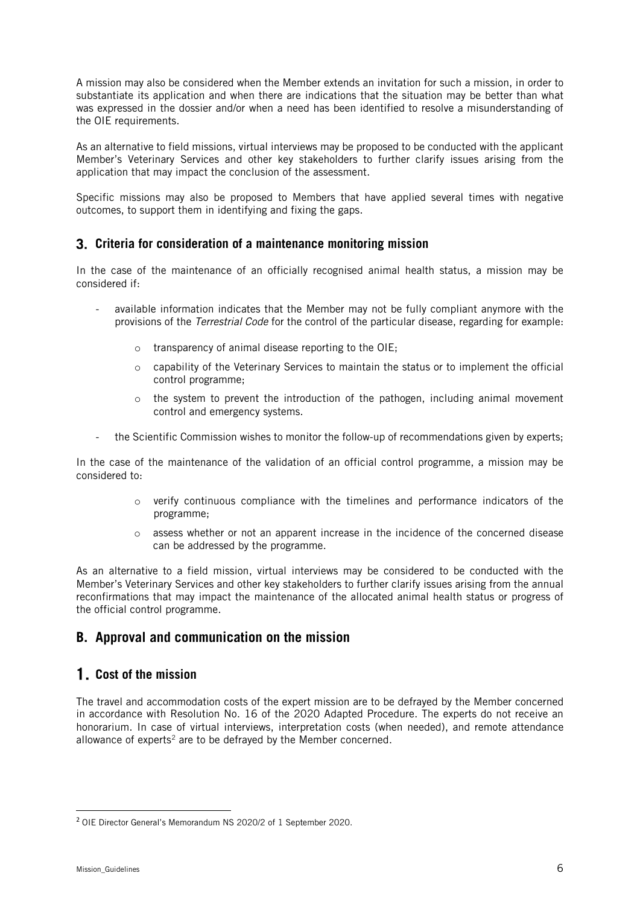A mission may also be considered when the Member extends an invitation for such a mission, in order to substantiate its application and when there are indications that the situation may be better than what was expressed in the dossier and/or when a need has been identified to resolve a misunderstanding of the OIE requirements.

As an alternative to field missions, virtual interviews may be proposed to be conducted with the applicant Member's Veterinary Services and other key stakeholders to further clarify issues arising from the application that may impact the conclusion of the assessment.

Specific missions may also be proposed to Members that have applied several times with negative outcomes, to support them in identifying and fixing the gaps.

#### **Criteria for consideration of a maintenance monitoring mission**

In the case of the maintenance of an officially recognised animal health status, a mission may be considered if:

- available information indicates that the Member may not be fully compliant anymore with the provisions of the Terrestrial Code for the control of the particular disease, regarding for example:
	- o transparency of animal disease reporting to the OIE;
	- o capability of the Veterinary Services to maintain the status or to implement the official control programme;
	- $\circ$  the system to prevent the introduction of the pathogen, including animal movement control and emergency systems.
- the Scientific Commission wishes to monitor the follow-up of recommendations given by experts;

In the case of the maintenance of the validation of an official control programme, a mission may be considered to:

- $\circ$  verify continuous compliance with the timelines and performance indicators of the programme;
- o assess whether or not an apparent increase in the incidence of the concerned disease can be addressed by the programme.

As an alternative to a field mission, virtual interviews may be considered to be conducted with the Member's Veterinary Services and other key stakeholders to further clarify issues arising from the annual reconfirmations that may impact the maintenance of the allocated animal health status or progress of the official control programme.

### **B. Approval and communication on the mission**

### **Cost of the mission**

The travel and accommodation costs of the expert mission are to be defrayed by the Member concerned in accordance with Resolution No. 16 of the 2020 Adapted Procedure. The experts do not receive an honorarium. In case of virtual interviews, interpretation costs (when needed), and remote attendance allowance of experts<sup>[2](#page-5-0)</sup> are to be defrayed by the Member concerned.

<span id="page-5-0"></span><sup>2</sup> OIE Director General's Memorandum NS 2020/2 of 1 September 2020.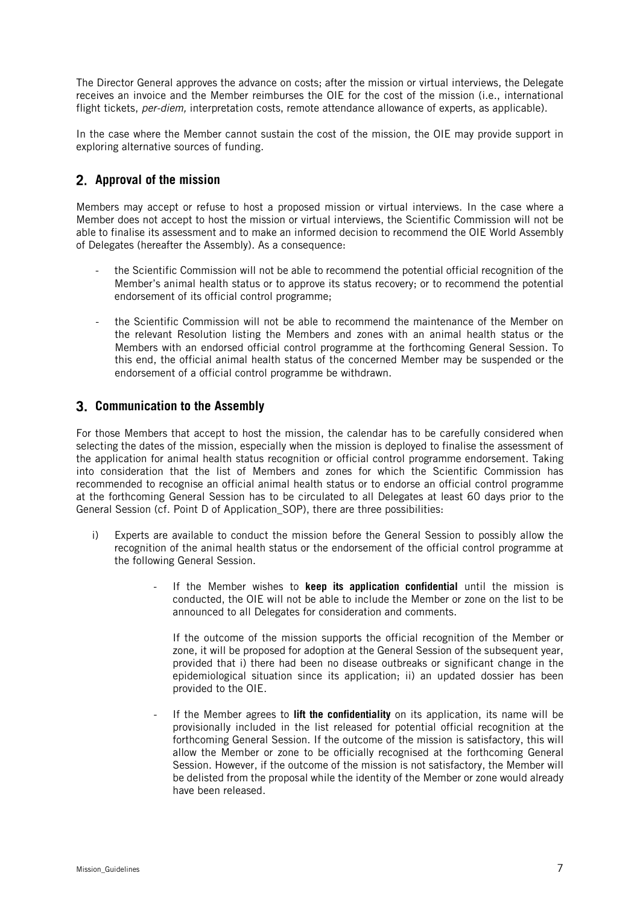The Director General approves the advance on costs; after the mission or virtual interviews, the Delegate receives an invoice and the Member reimburses the OIE for the cost of the mission (i.e., international flight tickets, per-diem, interpretation costs, remote attendance allowance of experts, as applicable).

In the case where the Member cannot sustain the cost of the mission, the OIE may provide support in exploring alternative sources of funding.

### **Approval of the mission**

Members may accept or refuse to host a proposed mission or virtual interviews. In the case where a Member does not accept to host the mission or virtual interviews, the Scientific Commission will not be able to finalise its assessment and to make an informed decision to recommend the OIE World Assembly of Delegates (hereafter the Assembly). As a consequence:

- the Scientific Commission will not be able to recommend the potential official recognition of the Member's animal health status or to approve its status recovery; or to recommend the potential endorsement of its official control programme;
- the Scientific Commission will not be able to recommend the maintenance of the Member on the relevant Resolution listing the Members and zones with an animal health status or the Members with an endorsed official control programme at the forthcoming General Session. To this end, the official animal health status of the concerned Member may be suspended or the endorsement of a official control programme be withdrawn.

#### **Communication to the Assembly**

For those Members that accept to host the mission, the calendar has to be carefully considered when selecting the dates of the mission, especially when the mission is deployed to finalise the assessment of the application for animal health status recognition or official control programme endorsement. Taking into consideration that the list of Members and zones for which the Scientific Commission has recommended to recognise an official animal health status or to endorse an official control programme at the forthcoming General Session has to be circulated to all Delegates at least 60 days prior to the General Session (cf. Point D of Application\_SOP), there are three possibilities:

- i) Experts are available to conduct the mission before the General Session to possibly allow the recognition of the animal health status or the endorsement of the official control programme at the following General Session.
	- If the Member wishes to **keep its application confidential** until the mission is conducted, the OIE will not be able to include the Member or zone on the list to be announced to all Delegates for consideration and comments.

If the outcome of the mission supports the official recognition of the Member or zone, it will be proposed for adoption at the General Session of the subsequent year, provided that i) there had been no disease outbreaks or significant change in the epidemiological situation since its application; ii) an updated dossier has been provided to the OIE.

If the Member agrees to **lift the confidentiality** on its application, its name will be provisionally included in the list released for potential official recognition at the forthcoming General Session. If the outcome of the mission is satisfactory, this will allow the Member or zone to be officially recognised at the forthcoming General Session. However, if the outcome of the mission is not satisfactory, the Member will be delisted from the proposal while the identity of the Member or zone would already have been released.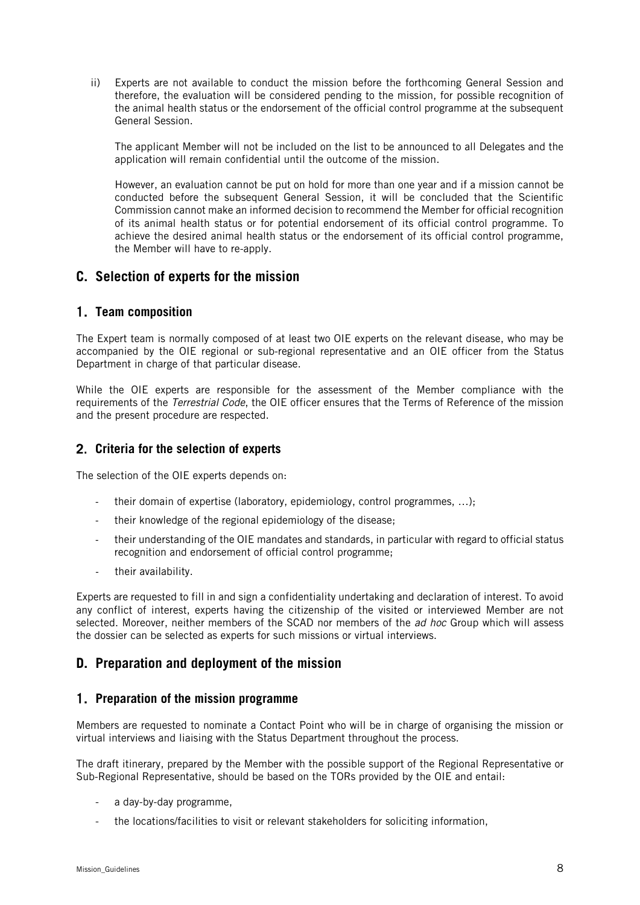ii) Experts are not available to conduct the mission before the forthcoming General Session and therefore, the evaluation will be considered pending to the mission, for possible recognition of the animal health status or the endorsement of the official control programme at the subsequent General Session.

The applicant Member will not be included on the list to be announced to all Delegates and the application will remain confidential until the outcome of the mission.

However, an evaluation cannot be put on hold for more than one year and if a mission cannot be conducted before the subsequent General Session, it will be concluded that the Scientific Commission cannot make an informed decision to recommend the Member for official recognition of its animal health status or for potential endorsement of its official control programme. To achieve the desired animal health status or the endorsement of its official control programme, the Member will have to re-apply.

### **C. Selection of experts for the mission**

#### **Team composition**

The Expert team is normally composed of at least two OIE experts on the relevant disease, who may be accompanied by the OIE regional or sub-regional representative and an OIE officer from the Status Department in charge of that particular disease.

While the OIE experts are responsible for the assessment of the Member compliance with the requirements of the Terrestrial Code, the OIE officer ensures that the Terms of Reference of the mission and the present procedure are respected.

#### **Criteria for the selection of experts**

The selection of the OIE experts depends on:

- their domain of expertise (laboratory, epidemiology, control programmes, ...);
- their knowledge of the regional epidemiology of the disease;
- their understanding of the OIE mandates and standards, in particular with regard to official status recognition and endorsement of official control programme;
- their availability.

Experts are requested to fill in and sign a confidentiality undertaking and declaration of interest. To avoid any conflict of interest, experts having the citizenship of the visited or interviewed Member are not selected. Moreover, neither members of the SCAD nor members of the *ad hoc* Group which will assess the dossier can be selected as experts for such missions or virtual interviews.

### **D. Preparation and deployment of the mission**

#### **Preparation of the mission programme**

Members are requested to nominate a Contact Point who will be in charge of organising the mission or virtual interviews and liaising with the Status Department throughout the process.

The draft itinerary, prepared by the Member with the possible support of the Regional Representative or Sub-Regional Representative, should be based on the TORs provided by the OIE and entail:

- a day-by-day programme,
- the locations/facilities to visit or relevant stakeholders for soliciting information,